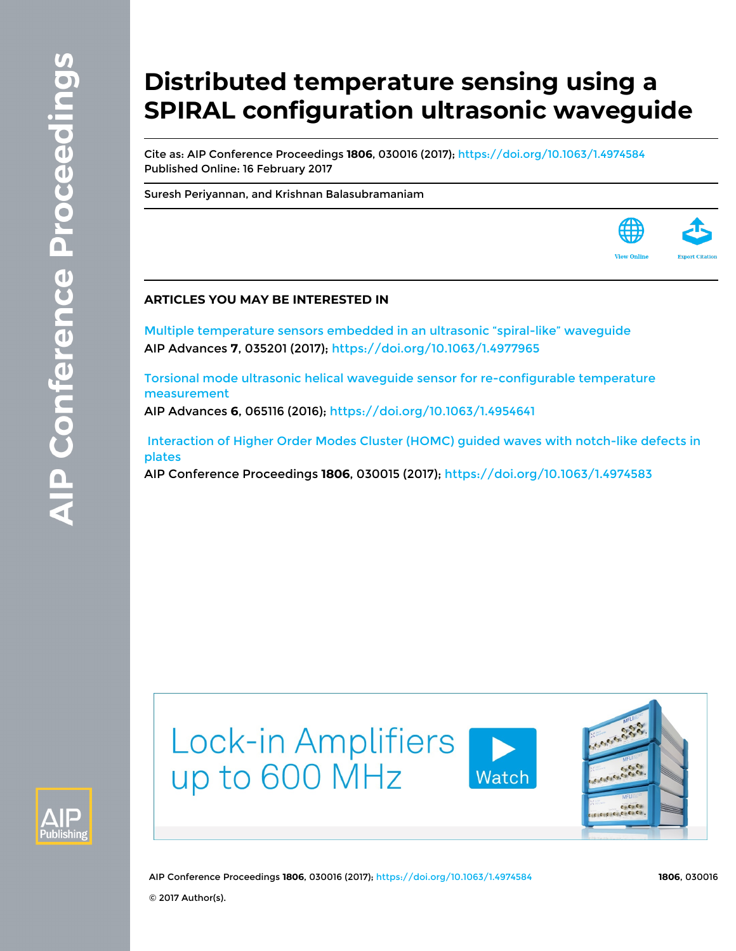# **Distributed temperature sensing using a SPIRAL configuration ultrasonic waveguide**

Cite as: AIP Conference Proceedings **1806**, 030016 (2017);<https://doi.org/10.1063/1.4974584> Published Online: 16 February 2017

[Suresh Periyannan](https://aip.scitation.org/author/Periyannan%2C+Suresh), and [Krishnan Balasubramaniam](https://aip.scitation.org/author/Balasubramaniam%2C+Krishnan)

#### **ARTICLES YOU MAY BE INTERESTED IN**

[Multiple temperature sensors embedded in an ultrasonic "spiral-like" waveguide](https://aip.scitation.org/doi/10.1063/1.4977965) AIP Advances **7**, 035201 (2017);<https://doi.org/10.1063/1.4977965>

[Torsional mode ultrasonic helical waveguide sensor for re-configurable temperature](https://aip.scitation.org/doi/10.1063/1.4954641) [measurement](https://aip.scitation.org/doi/10.1063/1.4954641)

AIP Advances **6**, 065116 (2016); <https://doi.org/10.1063/1.4954641>

 [Interaction of Higher Order Modes Cluster \(HOMC\) guided waves with notch-like defects in](https://aip.scitation.org/doi/10.1063/1.4974583) [plates](https://aip.scitation.org/doi/10.1063/1.4974583)

AIP Conference Proceedings **1806**, 030015 (2017);<https://doi.org/10.1063/1.4974583>





AIP Conference Proceedings **1806**, 030016 (2017); <https://doi.org/10.1063/1.4974584> **1806**, 030016 © 2017 Author(s).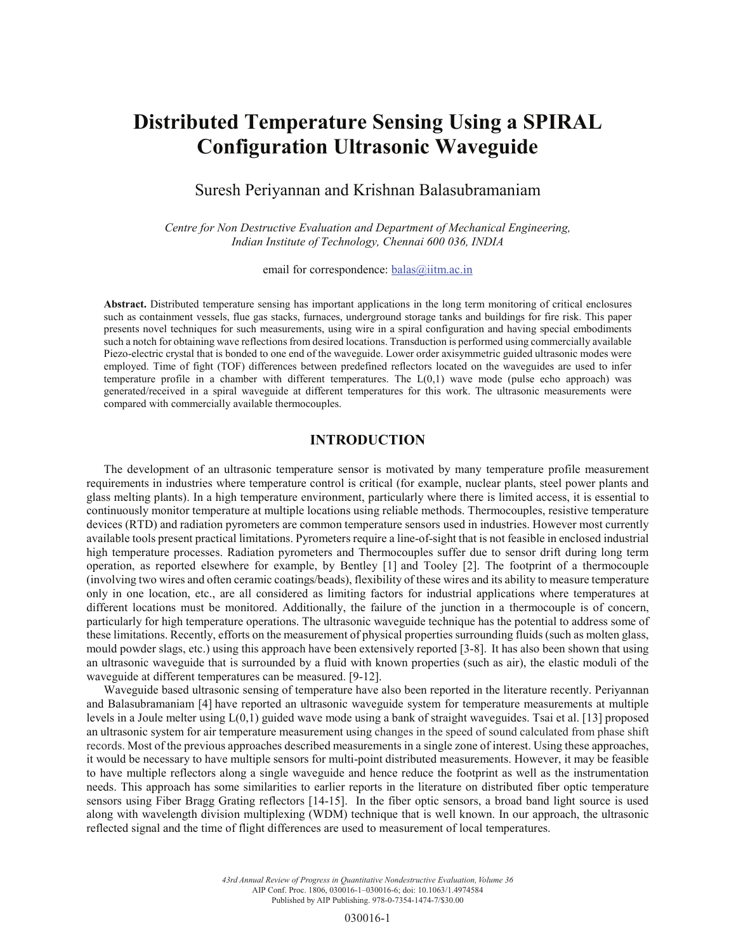## **Distributed Temperature Sensing Using a SPIRAL Configuration Ultrasonic Waveguide**

### Suresh Periyannan and Krishnan Balasubramaniam

*Centre for Non Destructive Evaluation and Department of Mechanical Engineering, Indian Institute of Technology, Chennai 600 036, INDIA*

email for correspondence: **balas@iitm.ac.in** 

**Abstract.** Distributed temperature sensing has important applications in the long term monitoring of critical enclosures such as containment vessels, flue gas stacks, furnaces, underground storage tanks and buildings for fire risk. This paper presents novel techniques for such measurements, using wire in a spiral configuration and having special embodiments such a notch for obtaining wave reflections from desired locations. Transduction is performed using commercially available Piezo-electric crystal that is bonded to one end of the waveguide. Lower order axisymmetric guided ultrasonic modes were employed. Time of fight (TOF) differences between predefined reflectors located on the waveguides are used to infer temperature profile in a chamber with different temperatures. The  $L(0,1)$  wave mode (pulse echo approach) was generated/received in a spiral waveguide at different temperatures for this work. The ultrasonic measurements were compared with commercially available thermocouples.

#### **INTRODUCTION**

The development of an ultrasonic temperature sensor is motivated by many temperature profile measurement requirements in industries where temperature control is critical (for example, nuclear plants, steel power plants and glass melting plants). In a high temperature environment, particularly where there is limited access, it is essential to continuously monitor temperature at multiple locations using reliable methods. Thermocouples, resistive temperature devices (RTD) and radiation pyrometers are common temperature sensors used in industries. However most currently available tools present practical limitations. Pyrometers require a line-of-sight that is not feasible in enclosed industrial high temperature processes. Radiation pyrometers and Thermocouples suffer due to sensor drift during long term operation, as reported elsewhere for example, by Bentley [1] and Tooley [2]. The footprint of a thermocouple (involving two wires and often ceramic coatings/beads), flexibility of these wires and its ability to measure temperature only in one location, etc., are all considered as limiting factors for industrial applications where temperatures at different locations must be monitored. Additionally, the failure of the junction in a thermocouple is of concern, particularly for high temperature operations. The ultrasonic waveguide technique has the potential to address some of these limitations. Recently, efforts on the measurement of physical properties surrounding fluids (such as molten glass, mould powder slags, etc.) using this approach have been extensively reported [3-8]. It has also been shown that using an ultrasonic waveguide that is surrounded by a fluid with known properties (such as air), the elastic moduli of the waveguide at different temperatures can be measured. [9-12].

Waveguide based ultrasonic sensing of temperature have also been reported in the literature recently. Periyannan and Balasubramaniam [4] have reported an ultrasonic waveguide system for temperature measurements at multiple levels in a Joule melter using L(0,1) guided wave mode using a bank of straight waveguides. Tsai et al. [13] proposed an ultrasonic system for air temperature measurement using changes in the speed of sound calculated from phase shift records. Most of the previous approaches described measurements in a single zone of interest. Using these approaches, it would be necessary to have multiple sensors for multi-point distributed measurements. However, it may be feasible to have multiple reflectors along a single waveguide and hence reduce the footprint as well as the instrumentation needs. This approach has some similarities to earlier reports in the literature on distributed fiber optic temperature sensors using Fiber Bragg Grating reflectors [14-15]. In the fiber optic sensors, a broad band light source is used along with wavelength division multiplexing (WDM) technique that is well known. In our approach, the ultrasonic reflected signal and the time of flight differences are used to measurement of local temperatures.

> *43rd Annual Review of Progress in Quantitative Nondestructive Evaluation, Volume 36* AIP Conf. Proc. 1806, 030016-1–030016-6; doi: 10.1063/1.4974584 Published by AIP Publishing. 978-0-7354-1474-7/\$30.00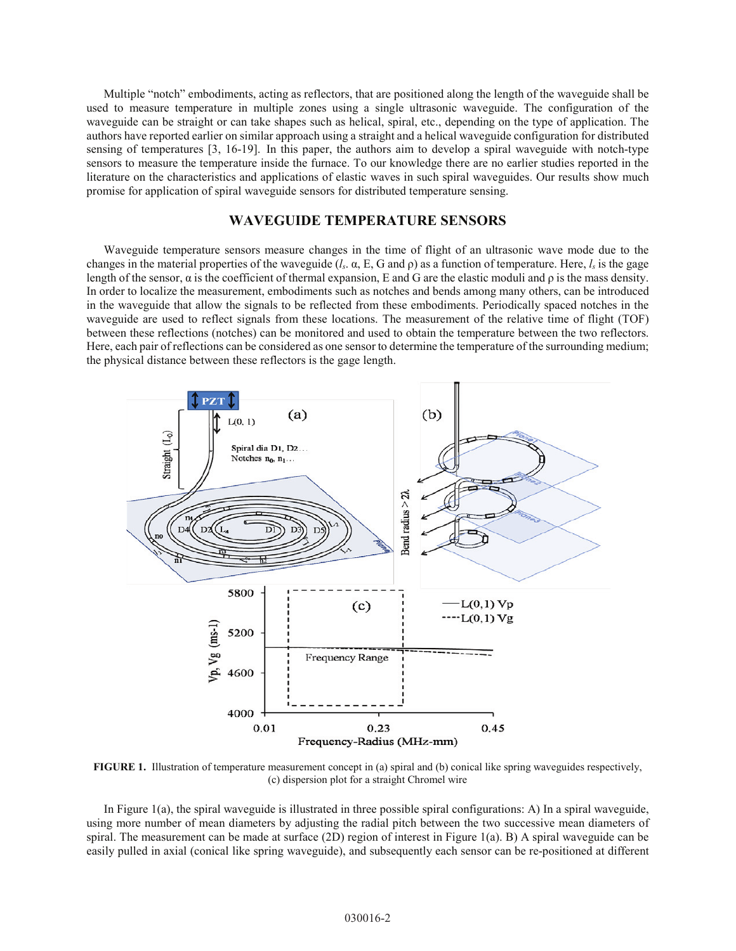Multiple "notch" embodiments, acting as reflectors, that are positioned along the length of the waveguide shall be used to measure temperature in multiple zones using a single ultrasonic waveguide. The configuration of the waveguide can be straight or can take shapes such as helical, spiral, etc., depending on the type of application. The authors have reported earlier on similar approach using a straight and a helical waveguide configuration for distributed sensing of temperatures [3, 16-19]. In this paper, the authors aim to develop a spiral waveguide with notch-type sensors to measure the temperature inside the furnace. To our knowledge there are no earlier studies reported in the literature on the characteristics and applications of elastic waves in such spiral waveguides. Our results show much promise for application of spiral waveguide sensors for distributed temperature sensing.

#### **WAVEGUIDE TEMPERATURE SENSORS**

Waveguide temperature sensors measure changes in the time of flight of an ultrasonic wave mode due to the changes in the material properties of the waveguide ( $l_s$ ,  $\alpha$ , E, G and  $\rho$ ) as a function of temperature. Here,  $l_s$  is the gage length of the sensor,  $\alpha$  is the coefficient of thermal expansion, E and G are the elastic moduli and  $\rho$  is the mass density. In order to localize the measurement, embodiments such as notches and bends among many others, can be introduced in the waveguide that allow the signals to be reflected from these embodiments. Periodically spaced notches in the waveguide are used to reflect signals from these locations. The measurement of the relative time of flight (TOF) between these reflections (notches) can be monitored and used to obtain the temperature between the two reflectors. Here, each pair of reflections can be considered as one sensor to determine the temperature of the surrounding medium; the physical distance between these reflectors is the gage length.



**FIGURE 1.** Illustration of temperature measurement concept in (a) spiral and (b) conical like spring waveguides respectively, (c) dispersion plot for a straight Chromel wire

In Figure 1(a), the spiral waveguide is illustrated in three possible spiral configurations: A) In a spiral waveguide, using more number of mean diameters by adjusting the radial pitch between the two successive mean diameters of spiral. The measurement can be made at surface (2D) region of interest in Figure 1(a). B) A spiral waveguide can be easily pulled in axial (conical like spring waveguide), and subsequently each sensor can be re-positioned at different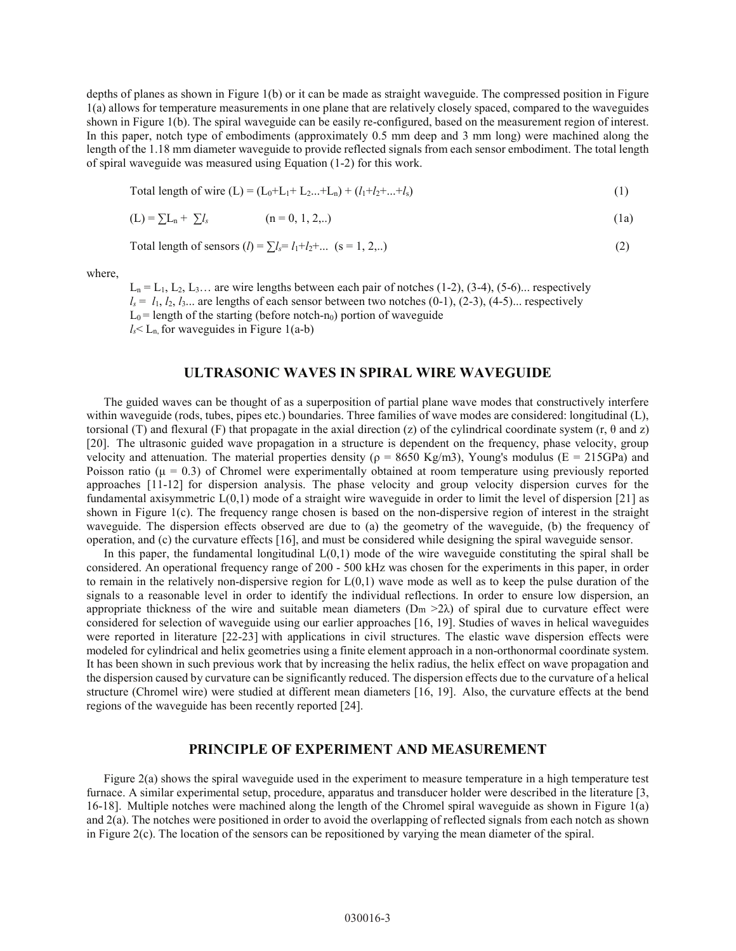depths of planes as shown in Figure 1(b) or it can be made as straight waveguide. The compressed position in Figure 1(a) allows for temperature measurements in one plane that are relatively closely spaced, compared to the waveguides shown in Figure 1(b). The spiral waveguide can be easily re-configured, based on the measurement region of interest. In this paper, notch type of embodiments (approximately 0.5 mm deep and 3 mm long) were machined along the length of the 1.18 mm diameter waveguide to provide reflected signals from each sensor embodiment. The total length of spiral waveguide was measured using Equation (1-2) for this work.

Total length of wire (L) = 
$$
(L_0+L_1+L_2...+L_n) + (l_1+l_2+...+l_s)
$$
 (1)

$$
(L) = \sum L_n + \sum l_s \qquad (n = 0, 1, 2, ...)
$$
 (1a)

Total length of sensors (*l*) = 
$$
\sum l_s = l_1 + l_2 + ...
$$
 (s = 1, 2,..) (2)

where,

 $L_n = L_1, L_2, L_3...$  are wire lengths between each pair of notches (1-2), (3-4), (5-6)... respectively  $l_s = l_1, l_2, l_3...$  are lengths of each sensor between two notches  $(0-1)$ ,  $(2-3)$ ,  $(4-5)$ ... respectively  $L_0$  = length of the starting (before notch-n<sub>0</sub>) portion of waveguide  $l_s$  L<sub>n,</sub> for waveguides in Figure 1(a-b)

#### **ULTRASONIC WAVES IN SPIRAL WIRE WAVEGUIDE**

The guided waves can be thought of as a superposition of partial plane wave modes that constructively interfere within waveguide (rods, tubes, pipes etc.) boundaries. Three families of wave modes are considered: longitudinal (L), torsional (T) and flexural (F) that propagate in the axial direction (z) of the cylindrical coordinate system  $(r, \theta \text{ and } z)$ [20]. The ultrasonic guided wave propagation in a structure is dependent on the frequency, phase velocity, group velocity and attenuation. The material properties density ( $\rho = 8650 \text{ Kg/m3}$ ), Young's modulus (E = 215GPa) and Poisson ratio ( $\mu$  = 0.3) of Chromel were experimentally obtained at room temperature using previously reported approaches [11-12] for dispersion analysis. The phase velocity and group velocity dispersion curves for the fundamental axisymmetric  $L(0,1)$  mode of a straight wire waveguide in order to limit the level of dispersion [21] as shown in Figure 1(c). The frequency range chosen is based on the non-dispersive region of interest in the straight waveguide. The dispersion effects observed are due to (a) the geometry of the waveguide, (b) the frequency of operation, and (c) the curvature effects [16], and must be considered while designing the spiral waveguide sensor.

In this paper, the fundamental longitudinal  $L(0,1)$  mode of the wire waveguide constituting the spiral shall be considered. An operational frequency range of 200 - 500 kHz was chosen for the experiments in this paper, in order to remain in the relatively non-dispersive region for L(0,1) wave mode as well as to keep the pulse duration of the signals to a reasonable level in order to identify the individual reflections. In order to ensure low dispersion, an appropriate thickness of the wire and suitable mean diameters ( $Dm > 2\lambda$ ) of spiral due to curvature effect were considered for selection of waveguide using our earlier approaches [16, 19]. Studies of waves in helical waveguides were reported in literature [22-23] with applications in civil structures. The elastic wave dispersion effects were modeled for cylindrical and helix geometries using a finite element approach in a non-orthonormal coordinate system. It has been shown in such previous work that by increasing the helix radius, the helix effect on wave propagation and the dispersion caused by curvature can be significantly reduced. The dispersion effects due to the curvature of a helical structure (Chromel wire) were studied at different mean diameters [16, 19]. Also, the curvature effects at the bend regions of the waveguide has been recently reported [24].

#### **PRINCIPLE OF EXPERIMENT AND MEASUREMENT**

Figure 2(a) shows the spiral waveguide used in the experiment to measure temperature in a high temperature test furnace. A similar experimental setup, procedure, apparatus and transducer holder were described in the literature [3, 16-18]. Multiple notches were machined along the length of the Chromel spiral waveguide as shown in Figure 1(a) and 2(a). The notches were positioned in order to avoid the overlapping of reflected signals from each notch as shown in Figure 2(c). The location of the sensors can be repositioned by varying the mean diameter of the spiral.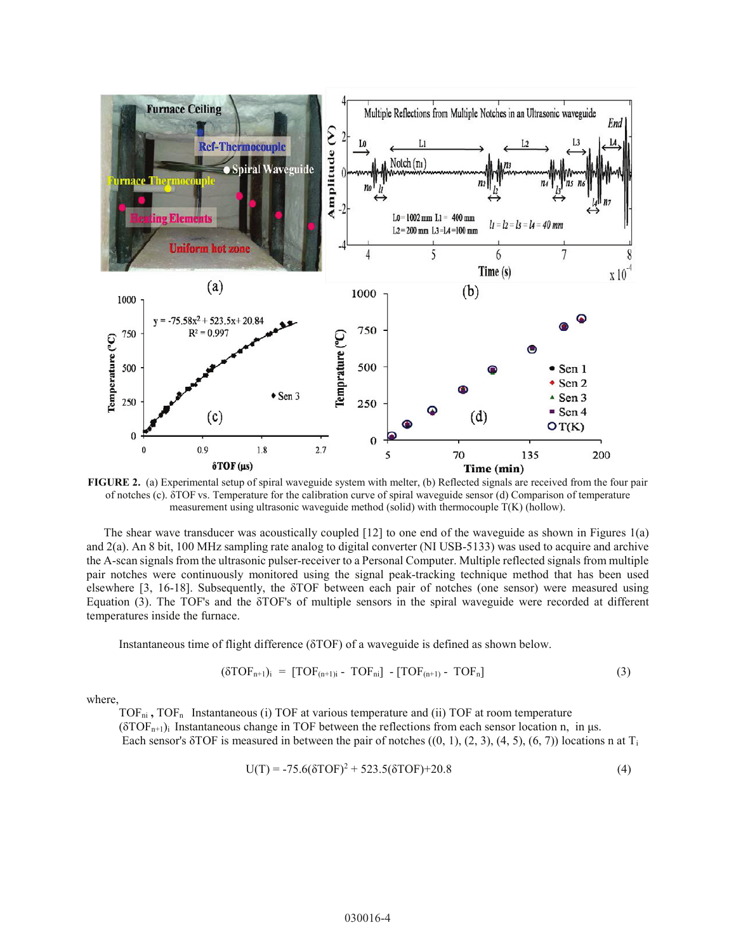

**FIGURE 2.** (a) Experimental setup of spiral waveguide system with melter, (b) Reflected signals are received from the four pair of notches (c).  $\delta$ TOF vs. Temperature for the calibration curve of spiral waveguide sensor (d) Comparison of temperature measurement using ultrasonic waveguide method (solid) with thermocouple T(K) (hollow).

The shear wave transducer was acoustically coupled [12] to one end of the waveguide as shown in Figures 1(a) and 2(a). An 8 bit, 100 MHz sampling rate analog to digital converter (NI USB-5133) was used to acquire and archive the A-scan signals from the ultrasonic pulser-receiver to a Personal Computer. Multiple reflected signals from multiple pair notches were continuously monitored using the signal peak-tracking technique method that has been used elsewhere [3, 16-18]. Subsequently, the  $\delta$ TOF between each pair of notches (one sensor) were measured using Equation  $(3)$ . The TOF's and the  $\delta$ TOF's of multiple sensors in the spiral waveguide were recorded at different temperatures inside the furnace.

Instantaneous time of flight difference ( $\delta$ TOF) of a waveguide is defined as shown below.

$$
(\delta\text{TOF}_{n+1})_i = [\text{TOF}_{(n+1)i} - \text{TOF}_{n}] - [\text{TOF}_{(n+1)} - \text{TOF}_{n}] \tag{3}
$$

where,

TOF<sub>ni</sub>, TOF<sub>n</sub> Instantaneous (i) TOF at various temperature and (ii) TOF at room temperature  $(\delta TOF_{n+1})$  Instantaneous change in TOF between the reflections from each sensor location n, in  $\mu$ s. Each sensor's  $\delta$ TOF is measured in between the pair of notches  $((0, 1), (2, 3), (4, 5), (6, 7))$  locations n at T<sub>i</sub>

$$
U(T) = -75.6(\delta TOF)^{2} + 523.5(\delta TOF) + 20.8
$$
\n(4)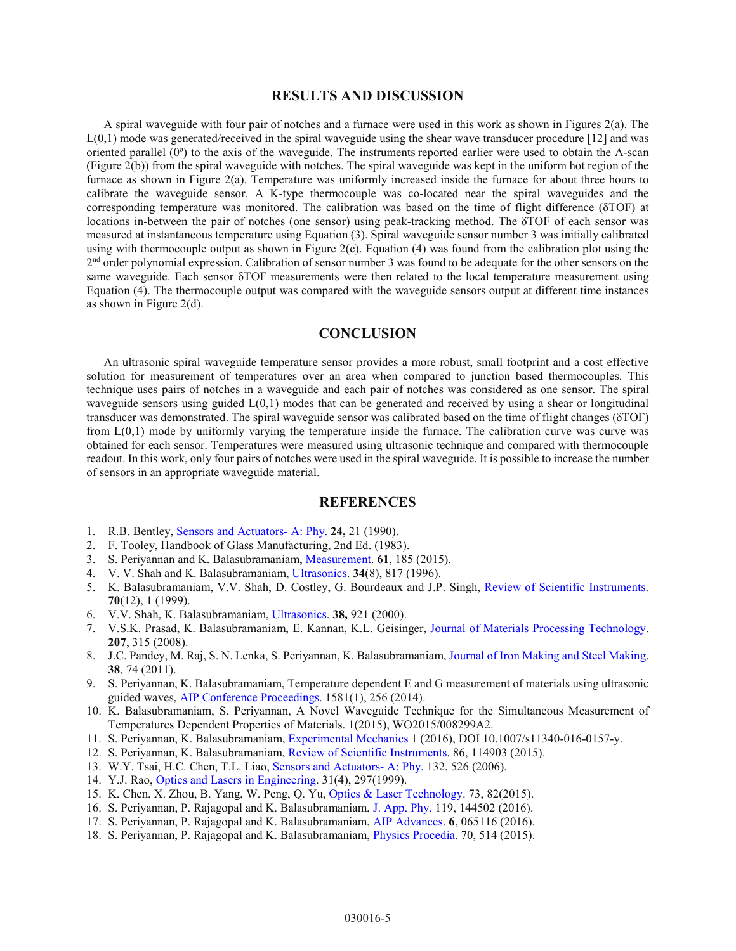#### **RESULTS AND DISCUSSION**

A spiral waveguide with four pair of notches and a furnace were used in this work as shown in Figures 2(a). The L(0,1) mode was generated/received in the spiral waveguide using the shear wave transducer procedure [12] and was oriented parallel  $(0^{\circ})$  to the axis of the waveguide. The instruments reported earlier were used to obtain the A-scan (Figure 2(b)) from the spiral waveguide with notches. The spiral waveguide was kept in the uniform hot region of the furnace as shown in Figure 2(a). Temperature was uniformly increased inside the furnace for about three hours to calibrate the waveguide sensor. A K-type thermocouple was co-located near the spiral waveguides and the corresponding temperature was monitored. The calibration was based on the time of flight difference ( $\delta$ TOF) at locations in-between the pair of notches (one sensor) using peak-tracking method. The  $\delta TOF$  of each sensor was measured at instantaneous temperature using Equation (3). Spiral waveguide sensor number 3 was initially calibrated using with thermocouple output as shown in Figure 2(c). Equation (4) was found from the calibration plot using the 2nd order polynomial expression. Calibration of sensor number 3 was found to be adequate for the other sensors on the same waveguide. Each sensor  $\delta TOF$  measurements were then related to the local temperature measurement using Equation (4). The thermocouple output was compared with the waveguide sensors output at different time instances as shown in Figure 2(d).

#### **CONCLUSION**

An ultrasonic spiral waveguide temperature sensor provides a more robust, small footprint and a cost effective solution for measurement of temperatures over an area when compared to junction based thermocouples. This technique uses pairs of notches in a waveguide and each pair of notches was considered as one sensor. The spiral waveguide sensors using guided  $L(0,1)$  modes that can be generated and received by using a shear or longitudinal transducer was demonstrated. The spiral waveguide sensor was calibrated based on the time of flight changes  $(\delta TOF)$ from L(0,1) mode by uniformly varying the temperature inside the furnace. The calibration curve was curve was obtained for each sensor. Temperatures were measured using ultrasonic technique and compared with thermocouple readout. In this work, only four pairs of notches were used in the spiral waveguide. It is possible to increase the number of sensors in an appropriate waveguide material.

#### **REFERENCES**

- 1. R.B. Bentley, [Sensors and Actuators- A: Phy.](http://dx.doi.org/10.1016/0924-4247(90)80043-5) **24,** 21 (1990).
- 2. F. Tooley, Handbook of Glass Manufacturing, 2nd Ed. (1983).
- 3. S. Periyannan and K. Balasubramaniam, [Measurement.](http://dx.doi.org/10.1016/j.measurement.2014.10.050) **61**, 185 (2015).
- 4. V. V. Shah and K. Balasubramaniam, [Ultrasonics.](http://dx.doi.org/10.1016/S0041-624X(96)00082-0) **34**(8), 817 (1996).
- 5. K. Balasubramaniam, V.V. Shah, D. Costley, G. Bourdeaux and J.P. Singh, [Review of Scientific Instruments](http://dx.doi.org/10.1063/1.1150123). **70**(12), 1 (1999).
- 6. V.V. Shah, K. Balasubramaniam, [Ultrasonics.](http://dx.doi.org/10.1016/S0041-624X(00)00033-0) **38,** 921 (2000).
- 7. V.S.K. Prasad, K. Balasubramaniam, E. Kannan, K.L. Geisinger, [Journal of Materials Processing Technology](http://dx.doi.org/10.1016/j.jmatprotec.2008.06.049). **207**, 315 (2008).
- 8. J.C. Pandey, M. Raj, S. N. Lenka, S. Periyannan, K. Balasubramaniam, [Journal of Iron Making and Steel Making](http://dx.doi.org/10.1179/174328109X445750). **38**, 74 (2011).
- 9. S. Periyannan, K. Balasubramaniam, Temperature dependent E and G measurement of materials using ultrasonic guided waves, [AIP Conference Proceedings.](http://dx.doi.org/10.1063/1.4864828) 1581(1), 256 (2014).
- 10. K. Balasubramaniam, S. Periyannan, A Novel Waveguide Technique for the Simultaneous Measurement of Temperatures Dependent Properties of Materials. 1(2015), WO2015/008299A2.
- 11. S. Periyannan, K. Balasubramaniam, [Experimental Mechanics](http://dx.doi.org/10.1007/s11340-016-0157-y) 1 (2016), DOI 10.1007/s11340-016-0157-y.
- 12. S. Periyannan, K. Balasubramaniam, [Review of Scientific Instruments.](http://dx.doi.org/10.1063/1.4935556) 86, 114903 (2015).
- 13. W.Y. Tsai, H.C. Chen, T.L. Liao, [Sensors and Actuators- A: Phy.](http://dx.doi.org/10.1016/j.sna.2006.02.025) 132, 526 (2006).
- 14. Y.J. Rao, [Optics and Lasers in Engineering.](http://dx.doi.org/10.1016/S0143-8166(99)00025-1) 31(4), 297(1999).
- 15. K. Chen, X. Zhou, B. Yang, W. Peng, Q. Yu, [Optics & Laser Technology](http://dx.doi.org/10.1016/j.optlastec.2015.04.001). 73, 82(2015).
- 16. S. Periyannan, P. Rajagopal and K. Balasubramaniam, [J. App. Phy.](http://dx.doi.org/10.1063/1.4945322) 119, 144502 (2016).
- 17. S. Periyannan, P. Rajagopal and K. Balasubramaniam, [AIP Advances](http://dx.doi.org/10.1063/1.4954641). **6**, 065116 (2016).
- 18. S. Periyannan, P. Rajagopal and K. Balasubramaniam, [Physics Procedia](http://dx.doi.org/10.1016/j.phpro.2015.08.004). 70, 514 (2015).